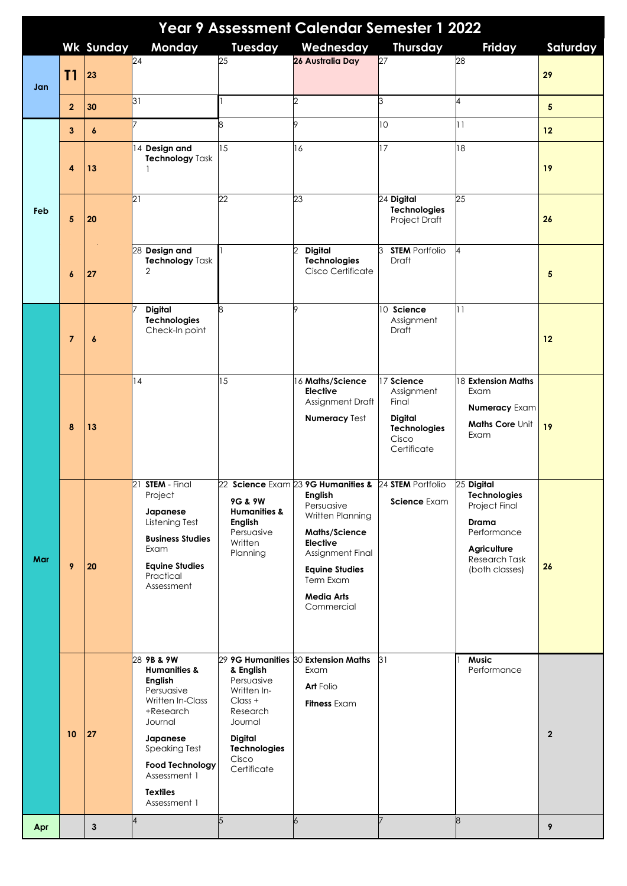| Year 9 Assessment Calendar Semester 1 2022 |                  |                  |                                                                                                                                                                                                                             |                                                                                                                                    |                                                                                                                                                                                                                                           |                                                                                      |                                                                                                                              |                         |  |
|--------------------------------------------|------------------|------------------|-----------------------------------------------------------------------------------------------------------------------------------------------------------------------------------------------------------------------------|------------------------------------------------------------------------------------------------------------------------------------|-------------------------------------------------------------------------------------------------------------------------------------------------------------------------------------------------------------------------------------------|--------------------------------------------------------------------------------------|------------------------------------------------------------------------------------------------------------------------------|-------------------------|--|
|                                            |                  | <b>Wk Sunday</b> | Monday                                                                                                                                                                                                                      | <b>Tuesday</b>                                                                                                                     | Wednesday                                                                                                                                                                                                                                 | <b>Thursday</b>                                                                      | Friday                                                                                                                       | Saturday                |  |
| Jan                                        | T1               | 23               | 24                                                                                                                                                                                                                          | 25                                                                                                                                 | 26 Australia Day                                                                                                                                                                                                                          | 27                                                                                   | 28                                                                                                                           | 29                      |  |
|                                            | $\overline{2}$   | 30               | 31                                                                                                                                                                                                                          |                                                                                                                                    | ク                                                                                                                                                                                                                                         | 3                                                                                    | 4                                                                                                                            | 5                       |  |
| Feb                                        | 3                | $\boldsymbol{6}$ |                                                                                                                                                                                                                             |                                                                                                                                    | Q                                                                                                                                                                                                                                         | 10                                                                                   | 11                                                                                                                           | 12                      |  |
|                                            | 4                | 13               | 14 Design and<br>Technology Task                                                                                                                                                                                            | 15                                                                                                                                 | 16                                                                                                                                                                                                                                        | 17                                                                                   | 18                                                                                                                           | 19                      |  |
|                                            | 5                | 20               | $\overline{21}$                                                                                                                                                                                                             | $\overline{22}$                                                                                                                    | 23                                                                                                                                                                                                                                        | 24 Digital<br><b>Technologies</b><br>Project Draft                                   | $\overline{25}$                                                                                                              | 26                      |  |
|                                            | $\boldsymbol{6}$ | 27               | 28 Design and<br>Technology Task<br>$\overline{2}$                                                                                                                                                                          |                                                                                                                                    | <b>Digital</b><br>2<br><b>Technologies</b><br>Cisco Certificate                                                                                                                                                                           | <b>STEM Portfolio</b><br>3<br>Draft                                                  | 4                                                                                                                            | 5                       |  |
| Mar                                        | $\overline{7}$   | $\boldsymbol{6}$ | <b>Digital</b><br><b>Technologies</b><br>Check-In point                                                                                                                                                                     |                                                                                                                                    | 9                                                                                                                                                                                                                                         | 10 Science<br>Assignment<br>Draft                                                    | 11                                                                                                                           | 12                      |  |
|                                            | 8                | 13               | 14                                                                                                                                                                                                                          | 15                                                                                                                                 | 16 Maths/Science<br><b>Elective</b><br>Assignment Draft<br>Numeracy Test                                                                                                                                                                  | 17 Science<br>Assignment<br>Final<br>Digital<br>Technologies<br>Cisco<br>Certificate | 8 Extension Maths<br>Exam<br><b>Numeracy Exam</b><br>Maths Core Unit<br>Exam                                                 | 19                      |  |
|                                            | 9                | 20               | 21 STEM - Final<br>Project<br>Japanese<br>Listening Test<br><b>Business Studies</b><br>Exam<br><b>Equine Studies</b><br>Practical<br>Assessment                                                                             | 9G & 9W<br><b>Humanities &amp;</b><br><b>English</b><br>Persuasive<br>Written<br>Planning                                          | 22 Science Exam 23 9G Humanities & 24 STEM Portfolio<br><b>English</b><br>Persuasive<br>Written Planning<br>Maths/Science<br><b>Elective</b><br>Assignment Final<br><b>Equine Studies</b><br>Term Exam<br><b>Media Arts</b><br>Commercial | Science Exam                                                                         | 25 Digital<br><b>Technologies</b><br>Project Final<br>Drama<br>Performance<br>Agriculture<br>Research Task<br>(both classes) | 26                      |  |
|                                            | 10               | 27               | 28 9B & 9W<br><b>Humanities &amp;</b><br><b>English</b><br>Persuasive<br>Written In-Class<br>+Research<br>Journal<br>Japanese<br>Speaking Test<br><b>Food Technology</b><br>Assessment 1<br><b>Textiles</b><br>Assessment 1 | & English<br>Persuasive<br>Written In-<br>Class +<br>Research<br>Journal<br>Digital<br><b>Technologies</b><br>Cisco<br>Certificate | 29 9G Humanities 30 Extension Maths<br>Exam<br><b>Art</b> Folio<br><b>Fitness</b> Exam                                                                                                                                                    | 31                                                                                   | Music<br>Performance                                                                                                         | $\overline{\mathbf{2}}$ |  |
| Apr                                        |                  | $\mathbf{3}$     | $\overline{A}$                                                                                                                                                                                                              | 5                                                                                                                                  | 6                                                                                                                                                                                                                                         | $\overline{7}$                                                                       | 8                                                                                                                            | 9                       |  |